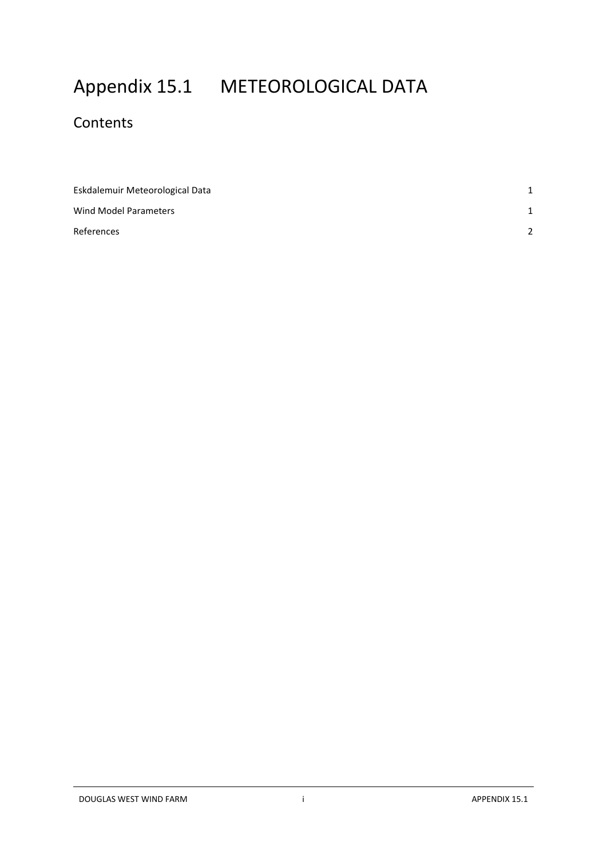## Appendix 15.1 METEOROLOGICAL DATA

## **Contents**

| Eskdalemuir Meteorological Data |               |
|---------------------------------|---------------|
| Wind Model Parameters           |               |
| References                      | $\mathcal{D}$ |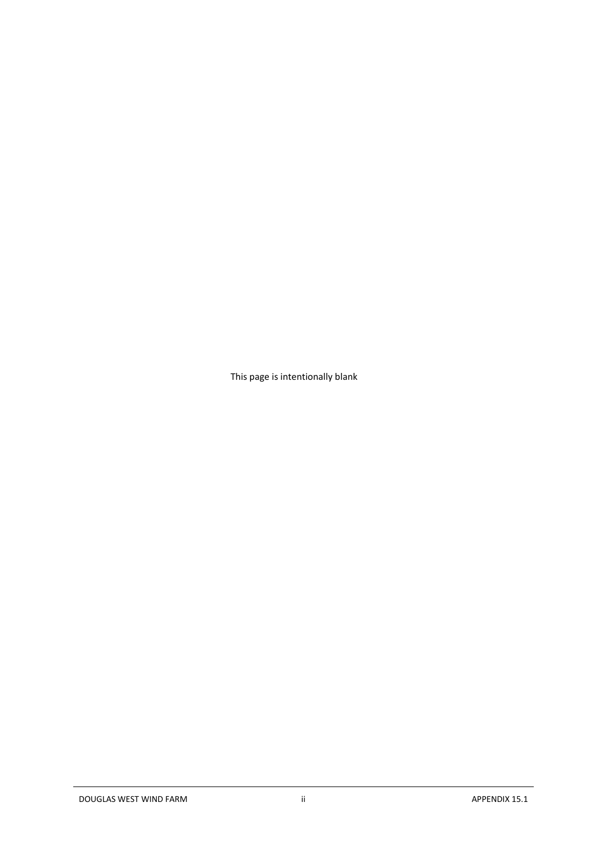This page is intentionally blank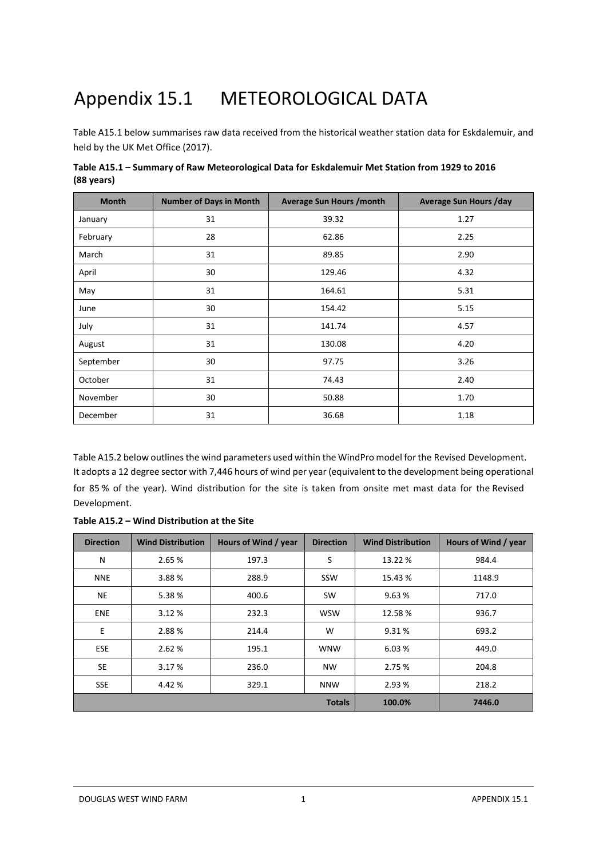## Appendix 15.1 METEOROLOGICAL DATA

Table A15.1 below summarises raw data received from the historical weather station data for Eskdalemuir, and held by the UK Met Office (2017).

| <b>Month</b> | <b>Number of Days in Month</b> | <b>Average Sun Hours / month</b> | <b>Average Sun Hours /day</b> |  |
|--------------|--------------------------------|----------------------------------|-------------------------------|--|
| January      | 31                             | 39.32                            | 1.27                          |  |
| February     | 28                             | 62.86                            | 2.25                          |  |
| March        | 31                             | 89.85                            | 2.90                          |  |
| April        | 30                             | 129.46                           | 4.32                          |  |
| May          | 31                             | 164.61                           | 5.31                          |  |
| June         | 30                             | 154.42                           | 5.15                          |  |
| July         | 31                             | 141.74                           | 4.57                          |  |
| August       | 31                             | 130.08                           | 4.20                          |  |
| September    | 30                             | 97.75                            | 3.26                          |  |
| October      | 31                             | 74.43                            | 2.40                          |  |
| November     | 30                             | 50.88                            | 1.70                          |  |
| December     | 31                             | 36.68                            | 1.18                          |  |

**Table A15.1 – Summary of Raw Meteorological Data for Eskdalemuir Met Station from 1929 to 2016 (88 years)** 

Table A15.2 below outlines the wind parameters used within the WindPro model for the Revised Development. It adopts a 12 degree sector with 7,446 hours of wind per year (equivalent to the development being operational for 85 % of the year). Wind distribution for the site is taken from onsite met mast data for the Revised Development.

| Table A15.2 – Wind Distribution at the Site |                          |                      |                  |                          |                      |  |  |  |
|---------------------------------------------|--------------------------|----------------------|------------------|--------------------------|----------------------|--|--|--|
| <b>Direction</b>                            | <b>Wind Distribution</b> | Hours of Wind / year | <b>Direction</b> | <b>Wind Distribution</b> | Hours of Wind / year |  |  |  |
| N                                           | 2.65 %                   | 197.3                | S                | 13.22 %                  | 984.4                |  |  |  |
| <b>NNE</b>                                  | 3.88%                    | 288.9                | <b>SSW</b>       | 15.43 %                  | 1148.9               |  |  |  |
| <b>NE</b>                                   | 5.38%                    | 400.6                | SW               | 9.63%                    | 717.0                |  |  |  |
| <b>ENE</b>                                  | 3.12 %                   | 232.3                | <b>WSW</b>       | 12.58%                   | 936.7                |  |  |  |
| E                                           | 2.88%                    | 214.4                | W                | 9.31 %                   | 693.2                |  |  |  |
| <b>ESE</b>                                  | 2.62%                    | 195.1                | <b>WNW</b>       | 6.03%                    | 449.0                |  |  |  |
| SE                                          | 3.17 %                   | 236.0                | <b>NW</b>        | 2.75%                    | 204.8                |  |  |  |
| SSE                                         | 4.42 %                   | 329.1                | <b>NNW</b>       | 2.93%                    | 218.2                |  |  |  |
|                                             |                          |                      | <b>Totals</b>    | 100.0%                   | 7446.0               |  |  |  |
|                                             |                          |                      |                  |                          |                      |  |  |  |